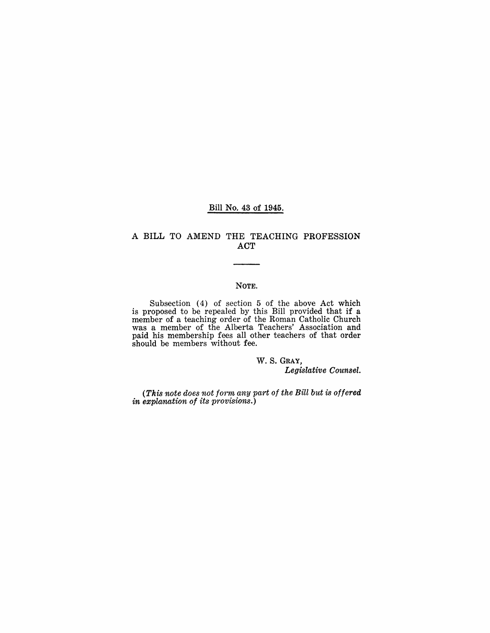#### Bill No. 43 of 1945.

### A BILL TO AMEND THE TEACHING PROFESSION ACT

#### NOTE.

Subsection (4) of section 5 of the above Act which is proposed to be repealed by this Bill provided that if a member of a teaching order of the Roman Catholic Church was a member of the Alberta Teachers' Association and paid his memhership fees all other teachers *ot* that order should be members without fee.

### w. S. GRAY,

*Legislative Counsel.* 

*(This note does not form any part of the Bill but* is *offered in explanation of its provisions.)*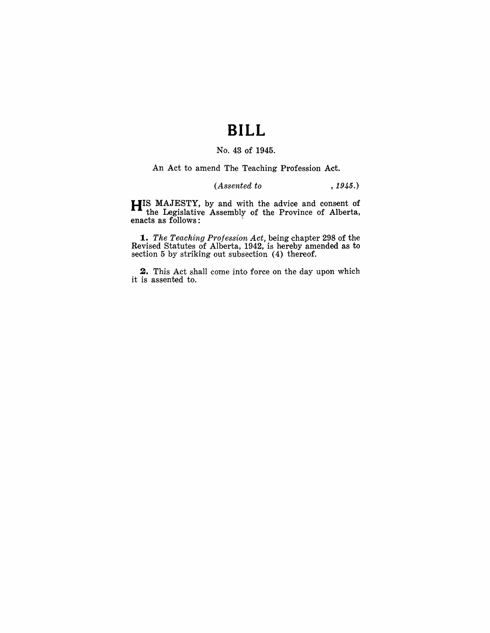## **BILL**

### No. 43 of 1945.

An Act to amend The Teaching Profession Act.

## *(Assented to* , 1945.)

**HIS** MAJESTY, by and with the advice and consent of the Legislative Assembly of the Province of Alberta, enacts as follows:

*1. The Teaching Profession Act,* being chapter 298 of the Revised Statutes of Alberta, 1942, is hereby amended as to section 5 by striking out subsection (4) thereof.

**2.** This Act shall come into force on the day upon which it is assented to.